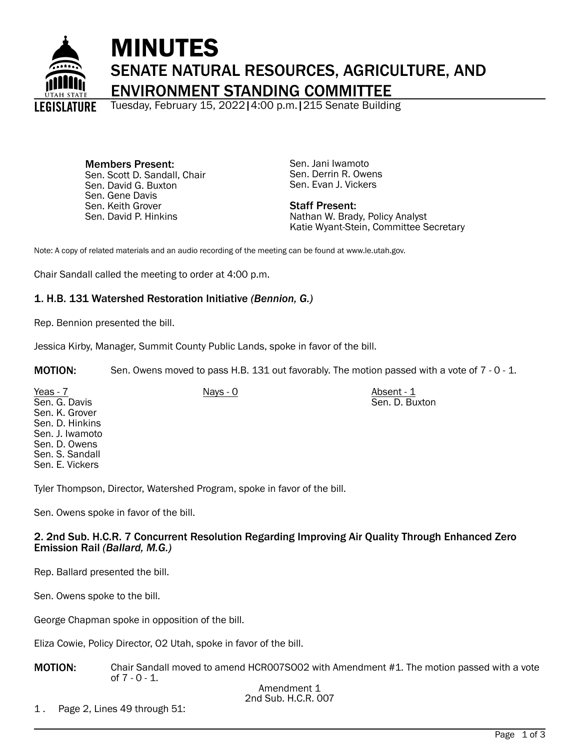

# MINUTES SENATE NATURAL RESOURCES, AGRICULTURE, AND ENVIRONMENT STANDING COMMITTEE

Tuesday, February 15, 2022|4:00 p.m.|215 Senate Building

Members Present: Sen. Scott D. Sandall, Chair Sen. David G. Buxton Sen. Gene Davis Sen. Keith Grover Sen. David P. Hinkins

Sen. Jani Iwamoto Sen. Derrin R. Owens Sen. Evan J. Vickers

Staff Present: Nathan W. Brady, Policy Analyst Katie Wyant-Stein, Committee Secretary

Note: A copy of related materials and an audio recording of the meeting can be found at www.le.utah.gov.

Chair Sandall called the meeting to order at 4:00 p.m.

# 1. H.B. 131 Watershed Restoration Initiative *(Bennion, G.)*

Rep. Bennion presented the bill.

Jessica Kirby, Manager, Summit County Public Lands, spoke in favor of the bill.

MOTION: Sen. Owens moved to pass H.B. 131 out favorably. The motion passed with a vote of 7 - 0 - 1.

Yeas - 7 Nays - 0 Nays - 0 Nays - 0 Absent - 1 Sen. G. Davis Sen. K. Grover Sen. D. Hinkins Sen. J. Iwamoto Sen. D. Owens Sen. S. Sandall Sen. E. Vickers Sen. D. Buxton

Tyler Thompson, Director, Watershed Program, spoke in favor of the bill.

Sen. Owens spoke in favor of the bill.

# 2. 2nd Sub. H.C.R. 7 Concurrent Resolution Regarding Improving Air Quality Through Enhanced Zero Emission Rail *(Ballard, M.G.)*

Rep. Ballard presented the bill.

Sen. Owens spoke to the bill.

George Chapman spoke in opposition of the bill.

Eliza Cowie, Policy Director, O2 Utah, spoke in favor of the bill.

MOTION: Chair Sandall moved to amend HCR007SO02 with Amendment #1. The motion passed with a vote of 7 - 0 - 1.

1 . Page 2, Lines 49 through 51: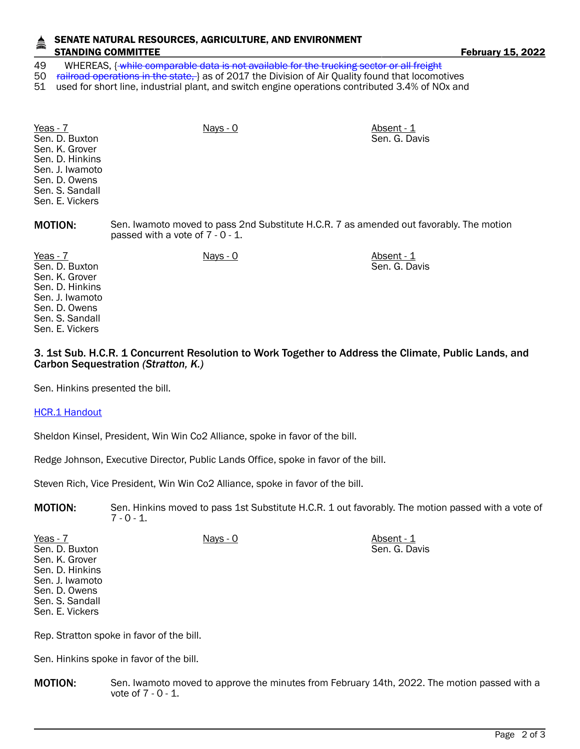### SENATE NATURAL RESOURCES, AGRICULTURE, AND ENVIRONMENT STANDING COMMITTEE **Fig. 10.1 To 2022** February 15, 2022

49 WHEREAS, { while comparable data is not available for the trucking sector or all freight

50 railroad operations in the state, as of 2017 the Division of Air Quality found that locomotives

51 used for short line, industrial plant, and switch engine operations contributed 3.4% of NOx and

| Yeas - 7<br>Sen. D. Buxton<br>Sen. K. Grover<br>Sen. D. Hinkins<br>Sen. J. Iwamoto<br>Sen. D. Owens<br>Sen. S. Sandall<br>Sen. E. Vickers | $Nays - 0$ | Absent - 1<br>Sen. G. Davis                                                             |  |
|-------------------------------------------------------------------------------------------------------------------------------------------|------------|-----------------------------------------------------------------------------------------|--|
| <b>MOTION:</b>                                                                                                                            |            | Sen. Iwamoto moved to pass 2nd Substitute H.C.R. 7 as amended out favorably. The motion |  |

passed with a vote of 7 - 0 - 1.

Yeas - 7 Nays - 0 Nays - 0 Nays - 0 Absent - 1 Sen. D. Buxton Sen. K. Grover Sen. D. Hinkins Sen. J. Iwamoto Sen. D. Owens Sen. S. Sandall Sen. E. Vickers

## 3. 1st Sub. H.C.R. 1 Concurrent Resolution to Work Together to Address the Climate, Public Lands, and Carbon Sequestration *(Stratton, K.)*

Sen. G. Davis

Sen. Hinkins presented the bill.

[HCR.1 Handout](https://le.utah.gov/interim/2022/pdf/00001813.pdf)

Sheldon Kinsel, President, Win Win Co2 Alliance, spoke in favor of the bill.

Redge Johnson, Executive Director, Public Lands Office, spoke in favor of the bill.

Steven Rich, Vice President, Win Win Co2 Alliance, spoke in favor of the bill.

MOTION: Sen. Hinkins moved to pass 1st Substitute H.C.R. 1 out favorably. The motion passed with a vote of  $7 - 0 - 1$ .

| Yeas - 7        | Nays - 0 | Absent - 1    |
|-----------------|----------|---------------|
| Sen. D. Buxton  |          | Sen. G. Davis |
| Sen. K. Grover  |          |               |
| Sen. D. Hinkins |          |               |
| Sen. J. Iwamoto |          |               |
| Sen. D. Owens   |          |               |
| Sen. S. Sandall |          |               |
| Sen. E. Vickers |          |               |

Rep. Stratton spoke in favor of the bill.

Sen. Hinkins spoke in favor of the bill.

**MOTION:** Sen. Iwamoto moved to approve the minutes from February 14th, 2022. The motion passed with a vote of 7 - 0 - 1.